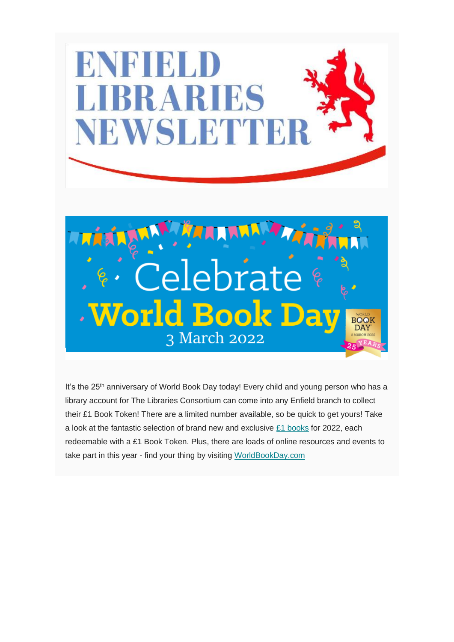

It's the 25<sup>th</sup> anniversary of World Book Day today! Every child and young person who has a library account for The Libraries Consortium can come into any Enfield branch to collect their £1 Book Token! There are a limited number available, so be quick to get yours! Take a look at the fantastic selection of brand new and exclusive [£1 books](https://www.worldbookday.com/books/) for 2022, each redeemable with a £1 Book Token. Plus, there are loads of online resources and events to take part in this year - find your thing by visiting [WorldBookDay.com](https://www.worldbookday.com/)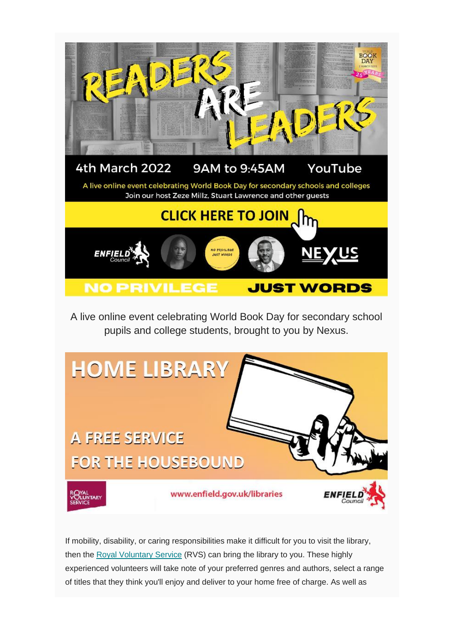

A live online event celebrating World Book Day for secondary school pupils and college students, brought to you by Nexus.



If mobility, disability, or caring responsibilities make it difficult for you to visit the library, then the [Royal Voluntary Service](http://www.royalvoluntaryservice.org.uk/) (RVS) can bring the library to you. These highly experienced volunteers will take note of your preferred genres and authors, select a range of titles that they think you'll enjoy and deliver to your home free of charge. As well as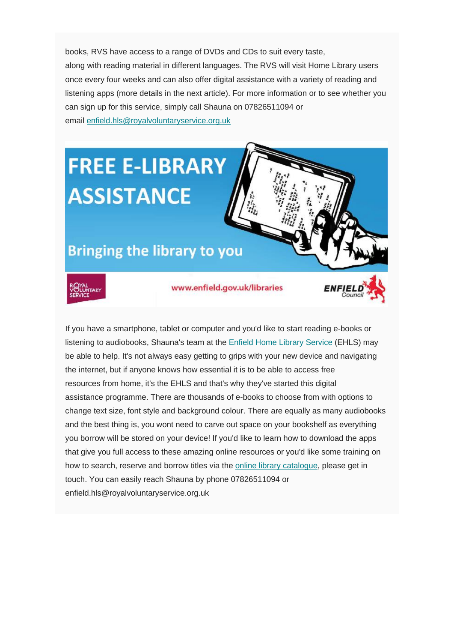books, RVS have access to a range of DVDs and CDs to suit every taste, along with reading material in different languages. The RVS will visit Home Library users once every four weeks and can also offer digital assistance with a variety of reading and listening apps (more details in the next article). For more information or to see whether you can sign up for this service, simply call Shauna on 07826511094 or email [enfield.hls@royalvoluntaryservice.org.uk](mailto:enfield.hls@royalvoluntaryservice.org.uk)

## **FREE E-LIBRARY ASSISTANCE**

## **Bringing the library to you**



www.enfield.gov.uk/libraries

If you have a smartphone, tablet or computer and you'd like to start reading e-books or listening to audiobooks, Shauna's team at the [Enfield Home Library Service](https://new.enfield.gov.uk/services/libraries/home-library-service/) (EHLS) may be able to help. It's not always easy getting to grips with your new device and navigating the internet, but if anyone knows how essential it is to be able to access free resources from home, it's the EHLS and that's why they've started this digital assistance programme. There are thousands of e-books to choose from with options to change text size, font style and background colour. There are equally as many audiobooks and the best thing is, you wont need to carve out space on your bookshelf as everything you borrow will be stored on your device! If you'd like to learn how to download the apps that give you full access to these amazing online resources or you'd like some training on how to search, reserve and borrow titles via the [online library catalogue,](https://libraries.enfield.gov.uk/client/en_GB/enfield) please get in touch. You can easily reach Shauna by phone 07826511094 or enfield.hls@royalvoluntaryservice.org.uk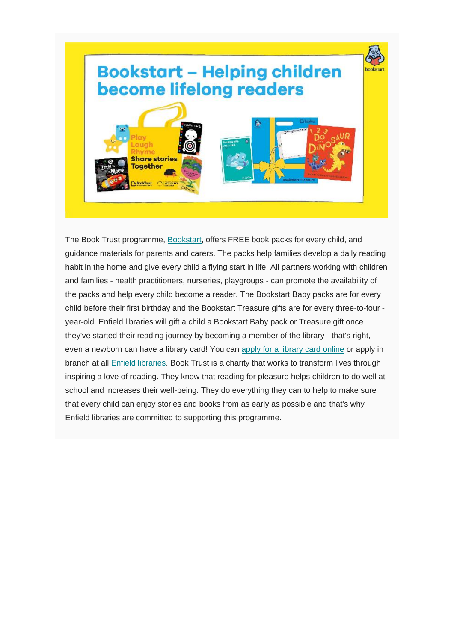

The Book Trust programme, [Bookstart,](https://www.booktrust.org.uk/what-we-do/programmes-and-campaigns/bookstart/) offers FREE book packs for every child, and guidance materials for parents and carers. The packs help families develop a daily reading habit in the home and give every child a flying start in life. All partners working with children and families - health practitioners, nurseries, playgroups - can promote the availability of the packs and help every child become a reader. The Bookstart Baby packs are for every child before their first birthday and the Bookstart Treasure gifts are for every three-to-four year-old. Enfield libraries will gift a child a Bookstart Baby pack or Treasure gift once they've started their reading journey by becoming a member of the library - that's right, even a newborn can have a library card! You can [apply for a library card online](https://new.enfield.gov.uk/services/libraries/library-information/#2) or apply in branch at all [Enfield libraries.](https://new.enfield.gov.uk/services/libraries/contact-information-and-opening-hours/) Book Trust is a charity that works to transform lives through inspiring a love of reading. They know that reading for pleasure helps children to do well at school and increases their well-being. They do everything they can to help to make sure that every child can enjoy stories and books from as early as possible and that's why Enfield libraries are committed to supporting this programme.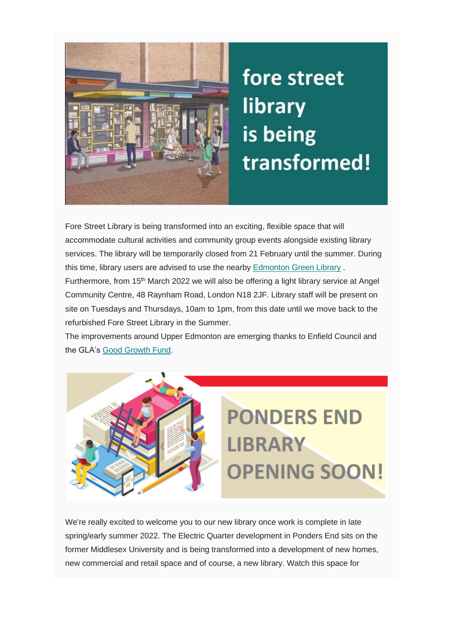

## fore street library is being transformed!

Fore Street Library is being transformed into an exciting, flexible space that will accommodate cultural activities and community group events alongside existing library services. The library will be temporarily closed from 21 February until the summer. During this time, library users are advised to use the nearby [Edmonton Green Library](https://new.enfield.gov.uk/services/libraries/contact-information-and-opening-hours/) .

Furthermore, from 15<sup>th</sup> March 2022 we will also be offering a light library service at Angel Community Centre, 48 Raynham Road, London N18 2JF. Library staff will be present on site on Tuesdays and Thursdays, 10am to 1pm, from this date until we move back to the refurbished Fore Street Library in the Summer.

The improvements around Upper Edmonton are emerging thanks to Enfield Council and the GLA's [Good Growth Fund.](https://letstalk.enfield.gov.uk/good-growth-fund)



We're really excited to welcome you to our new library once work is complete in late spring/early summer 2022. The Electric Quarter development in Ponders End sits on the former Middlesex University and is being transformed into a development of new homes, new commercial and retail space and of course, a new library. Watch this space for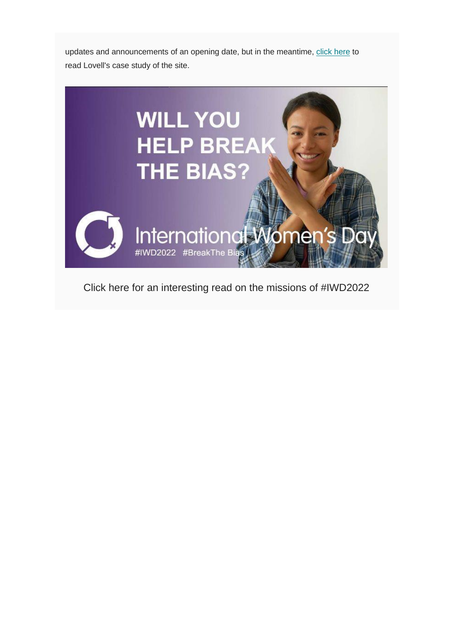updates and announcements of an opening date, but in the meantime, [click here](https://corporate.lovell.co.uk/case-studies/the-electric-quarter/) to read Lovell's case study of the site.



Click here for an interesting read on the missions of #IWD2022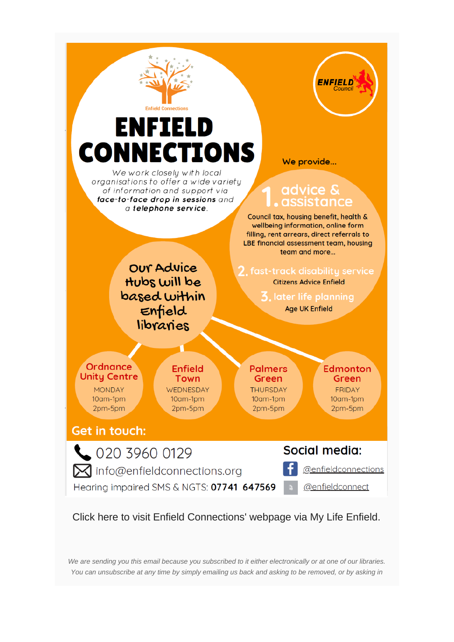

Click here to visit Enfield Connections' webpage via My Life Enfield.

*We are sending you this email because you subscribed to it either electronically or at one of our libraries. You can unsubscribe at any time by simply emailing us back and asking to be removed, or by asking in*